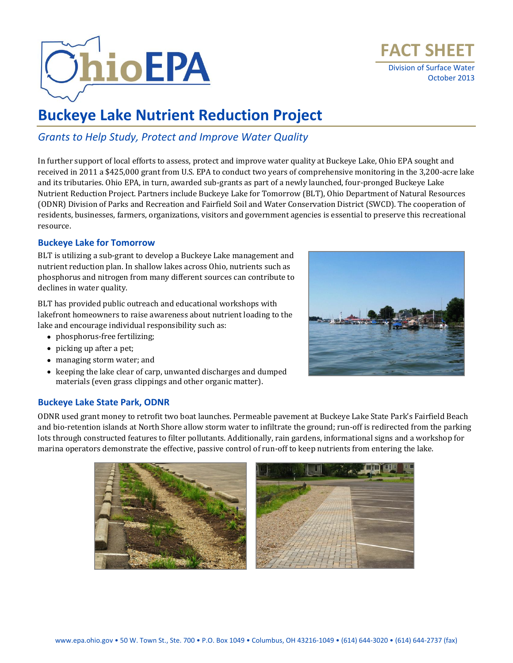



# **Buckeye Lake Nutrient Reduction Project**

### *Grants to Help Study, Protect and Improve Water Quality*

In further support of local efforts to assess, protect and improve water quality at Buckeye Lake, Ohio EPA sought and received in 2011 a \$425,000 grant from U.S. EPA to conduct two years of comprehensive monitoring in the 3,200-acre lake and its tributaries. Ohio EPA, in turn, awarded sub-grants as part of a newly launched, four-pronged Buckeye Lake Nutrient Reduction Project. Partners include Buckeye Lake for Tomorrow (BLT), Ohio Department of Natural Resources (ODNR) Division of Parks and Recreation and Fairfield Soil and Water Conservation District (SWCD). The cooperation of residents, businesses, farmers, organizations, visitors and government agencies is essential to preserve this recreational resource.

### **Buckeye Lake for Tomorrow**

BLT is utilizing a sub-grant to develop a Buckeye Lake management and nutrient reduction plan. In shallow lakes across Ohio, nutrients such as phosphorus and nitrogen from many different sources can contribute to declines in water quality.

BLT has provided public outreach and educational workshops with lakefront homeowners to raise awareness about nutrient loading to the lake and encourage individual responsibility such as:

- phosphorus-free fertilizing;
- picking up after a pet;
- managing storm water; and
- keeping the lake clear of carp, unwanted discharges and dumped materials (even grass clippings and other organic matter).



### **Buckeye Lake State Park, ODNR**

ODNR used grant money to retrofit two boat launches. Permeable pavement at Buckeye Lake State Park's Fairfield Beach and bio-retention islands at North Shore allow storm water to infiltrate the ground; run-off is redirected from the parking lots through constructed features to filter pollutants. Additionally, rain gardens, informational signs and a workshop for marina operators demonstrate the effective, passive control of run-off to keep nutrients from entering the lake.